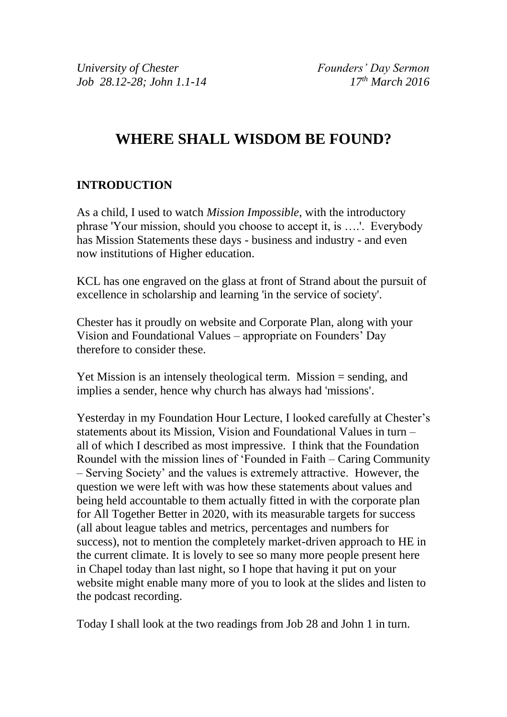# **WHERE SHALL WISDOM BE FOUND?**

### **INTRODUCTION**

As a child, I used to watch *Mission Impossible*, with the introductory phrase 'Your mission, should you choose to accept it, is ….'. Everybody has Mission Statements these days - business and industry - and even now institutions of Higher education.

KCL has one engraved on the glass at front of Strand about the pursuit of excellence in scholarship and learning 'in the service of society'.

Chester has it proudly on website and Corporate Plan, along with your Vision and Foundational Values – appropriate on Founders' Day therefore to consider these.

Yet Mission is an intensely theological term. Mission = sending, and implies a sender, hence why church has always had 'missions'.

Yesterday in my Foundation Hour Lecture, I looked carefully at Chester's statements about its Mission, Vision and Foundational Values in turn – all of which I described as most impressive. I think that the Foundation Roundel with the mission lines of 'Founded in Faith – Caring Community – Serving Society' and the values is extremely attractive. However, the question we were left with was how these statements about values and being held accountable to them actually fitted in with the corporate plan for All Together Better in 2020, with its measurable targets for success (all about league tables and metrics, percentages and numbers for success), not to mention the completely market-driven approach to HE in the current climate. It is lovely to see so many more people present here in Chapel today than last night, so I hope that having it put on your website might enable many more of you to look at the slides and listen to the podcast recording.

Today I shall look at the two readings from Job 28 and John 1 in turn.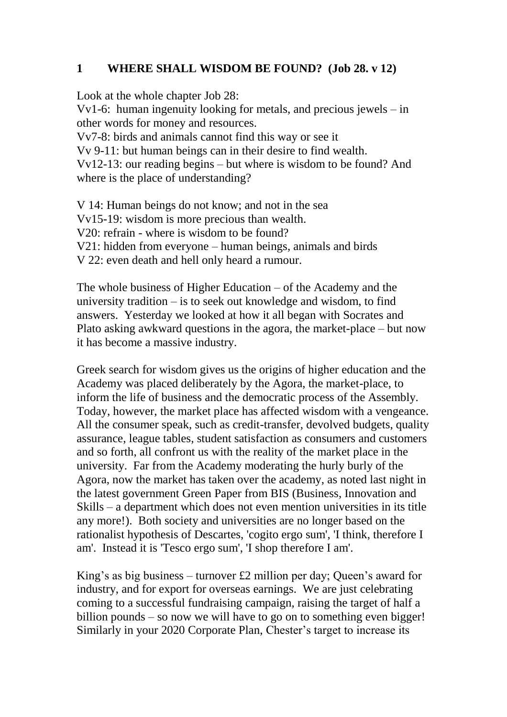#### **1 WHERE SHALL WISDOM BE FOUND? (Job 28. v 12)**

Look at the whole chapter Job 28:

Vv1-6: human ingenuity looking for metals, and precious jewels – in other words for money and resources.

Vv7-8: birds and animals cannot find this way or see it

Vv 9-11: but human beings can in their desire to find wealth.

Vv12-13: our reading begins – but where is wisdom to be found? And where is the place of understanding?

V 14: Human beings do not know; and not in the sea Vv15-19: wisdom is more precious than wealth. V20: refrain - where is wisdom to be found? V21: hidden from everyone – human beings, animals and birds V 22: even death and hell only heard a rumour.

The whole business of Higher Education – of the Academy and the university tradition – is to seek out knowledge and wisdom, to find answers. Yesterday we looked at how it all began with Socrates and Plato asking awkward questions in the agora, the market-place – but now it has become a massive industry.

Greek search for wisdom gives us the origins of higher education and the Academy was placed deliberately by the Agora, the market-place, to inform the life of business and the democratic process of the Assembly. Today, however, the market place has affected wisdom with a vengeance. All the consumer speak, such as credit-transfer, devolved budgets, quality assurance, league tables, student satisfaction as consumers and customers and so forth, all confront us with the reality of the market place in the university. Far from the Academy moderating the hurly burly of the Agora, now the market has taken over the academy, as noted last night in the latest government Green Paper from BIS (Business, Innovation and Skills – a department which does not even mention universities in its title any more!). Both society and universities are no longer based on the rationalist hypothesis of Descartes, 'cogito ergo sum', 'I think, therefore I am'. Instead it is 'Tesco ergo sum', 'I shop therefore I am'.

King's as big business – turnover £2 million per day; Queen's award for industry, and for export for overseas earnings. We are just celebrating coming to a successful fundraising campaign, raising the target of half a billion pounds – so now we will have to go on to something even bigger! Similarly in your 2020 Corporate Plan, Chester's target to increase its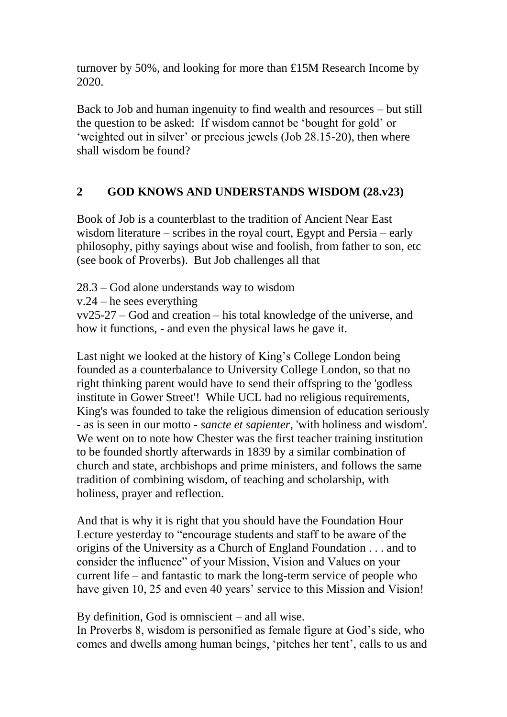turnover by 50%, and looking for more than £15M Research Income by 2020.

Back to Job and human ingenuity to find wealth and resources – but still the question to be asked: If wisdom cannot be 'bought for gold' or 'weighted out in silver' or precious jewels (Job 28.15-20), then where shall wisdom be found?

### **2 GOD KNOWS AND UNDERSTANDS WISDOM (28.v23)**

Book of Job is a counterblast to the tradition of Ancient Near East wisdom literature – scribes in the royal court, Egypt and Persia – early philosophy, pithy sayings about wise and foolish, from father to son, etc (see book of Proverbs). But Job challenges all that

28.3 – God alone understands way to wisdom v.24 – he sees everything vv25-27 – God and creation – his total knowledge of the universe, and how it functions, - and even the physical laws he gave it.

Last night we looked at the history of King's College London being founded as a counterbalance to University College London, so that no right thinking parent would have to send their offspring to the 'godless institute in Gower Street'! While UCL had no religious requirements, King's was founded to take the religious dimension of education seriously - as is seen in our motto - *sancte et sapienter*, 'with holiness and wisdom'. We went on to note how Chester was the first teacher training institution to be founded shortly afterwards in 1839 by a similar combination of church and state, archbishops and prime ministers, and follows the same tradition of combining wisdom, of teaching and scholarship, with holiness, prayer and reflection.

And that is why it is right that you should have the Foundation Hour Lecture yesterday to "encourage students and staff to be aware of the origins of the University as a Church of England Foundation . . . and to consider the influence" of your Mission, Vision and Values on your current life – and fantastic to mark the long-term service of people who have given 10, 25 and even 40 years' service to this Mission and Vision!

By definition, God is omniscient – and all wise.

In Proverbs 8, wisdom is personified as female figure at God's side, who comes and dwells among human beings, 'pitches her tent', calls to us and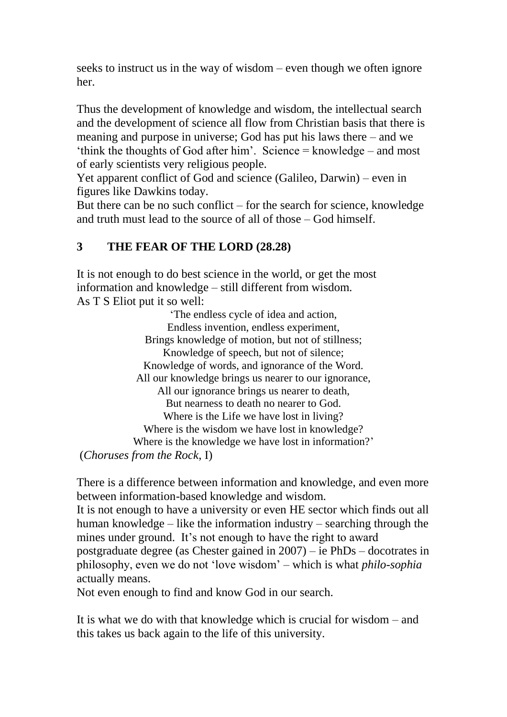seeks to instruct us in the way of wisdom – even though we often ignore her.

Thus the development of knowledge and wisdom, the intellectual search and the development of science all flow from Christian basis that there is meaning and purpose in universe; God has put his laws there – and we 'think the thoughts of God after him'. Science = knowledge – and most of early scientists very religious people.

Yet apparent conflict of God and science (Galileo, Darwin) – even in figures like Dawkins today.

But there can be no such conflict – for the search for science, knowledge and truth must lead to the source of all of those – God himself.

# **3 THE FEAR OF THE LORD (28.28)**

It is not enough to do best science in the world, or get the most information and knowledge – still different from wisdom. As T S Eliot put it so well:

'The endless cycle of idea and action, Endless invention, endless experiment, Brings knowledge of motion, but not of stillness; Knowledge of speech, but not of silence; Knowledge of words, and ignorance of the Word. All our knowledge brings us nearer to our ignorance, All our ignorance brings us nearer to death, But nearness to death no nearer to God. Where is the Life we have lost in living? Where is the wisdom we have lost in knowledge? Where is the knowledge we have lost in information?' (*Choruses from the Rock*, I)

There is a difference between information and knowledge, and even more between information-based knowledge and wisdom.

It is not enough to have a university or even HE sector which finds out all human knowledge – like the information industry – searching through the mines under ground. It's not enough to have the right to award

postgraduate degree (as Chester gained in 2007) – ie PhDs – docotrates in philosophy, even we do not 'love wisdom' – which is what *philo-sophia* actually means.

Not even enough to find and know God in our search.

It is what we do with that knowledge which is crucial for wisdom – and this takes us back again to the life of this university.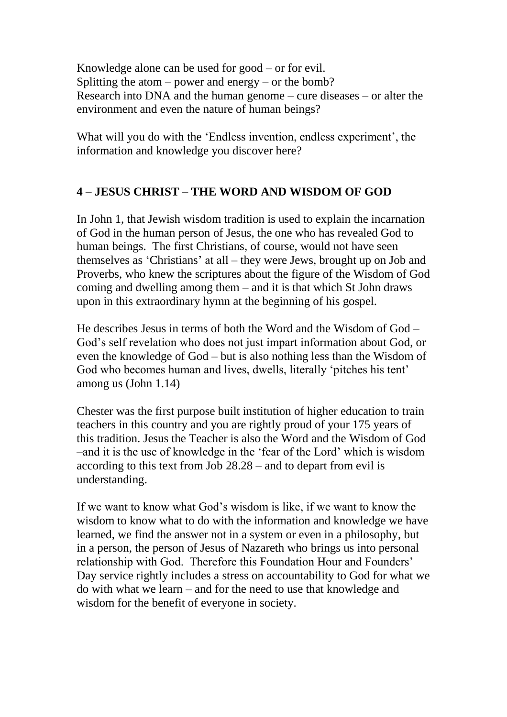Knowledge alone can be used for good – or for evil. Splitting the atom – power and energy – or the bomb? Research into DNA and the human genome – cure diseases – or alter the environment and even the nature of human beings?

What will you do with the 'Endless invention, endless experiment', the information and knowledge you discover here?

### **4 – JESUS CHRIST – THE WORD AND WISDOM OF GOD**

In John 1, that Jewish wisdom tradition is used to explain the incarnation of God in the human person of Jesus, the one who has revealed God to human beings. The first Christians, of course, would not have seen themselves as 'Christians' at all – they were Jews, brought up on Job and Proverbs, who knew the scriptures about the figure of the Wisdom of God coming and dwelling among them – and it is that which St John draws upon in this extraordinary hymn at the beginning of his gospel.

He describes Jesus in terms of both the Word and the Wisdom of God – God's self revelation who does not just impart information about God, or even the knowledge of God – but is also nothing less than the Wisdom of God who becomes human and lives, dwells, literally 'pitches his tent' among us (John 1.14)

Chester was the first purpose built institution of higher education to train teachers in this country and you are rightly proud of your 175 years of this tradition. Jesus the Teacher is also the Word and the Wisdom of God –and it is the use of knowledge in the 'fear of the Lord' which is wisdom according to this text from Job 28.28 – and to depart from evil is understanding.

If we want to know what God's wisdom is like, if we want to know the wisdom to know what to do with the information and knowledge we have learned, we find the answer not in a system or even in a philosophy, but in a person, the person of Jesus of Nazareth who brings us into personal relationship with God. Therefore this Foundation Hour and Founders' Day service rightly includes a stress on accountability to God for what we do with what we learn – and for the need to use that knowledge and wisdom for the benefit of everyone in society.